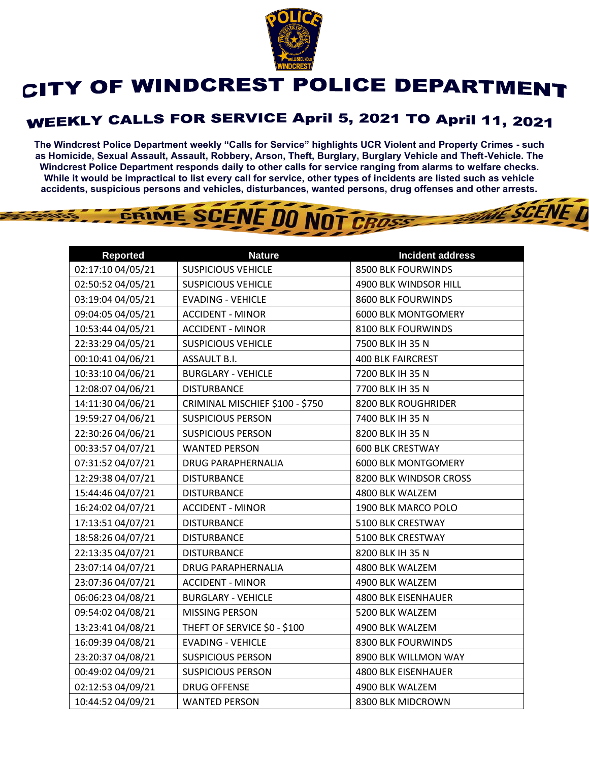

## CITY OF WINDCREST POLICE DEPARTMENT

## WEEKLY CALLS FOR SERVICE April 5, 2021 TO April 11, 2021

**The Windcrest Police Department weekly "Calls for Service" highlights UCR Violent and Property Crimes - such as Homicide, Sexual Assault, Assault, Robbery, Arson, Theft, Burglary, Burglary Vehicle and Theft-Vehicle. The Windcrest Police Department responds daily to other calls for service ranging from alarms to welfare checks. While it would be impractical to list every call for service, other types of incidents are listed such as vehicle accidents, suspicious persons and vehicles, disturbances, wanted persons, drug offenses and other arrests.** 

**THE SCENE TI** 

## GRIME SCENE DO NOT CROSS

| <b>Reported</b>   | <b>Nature</b>                   | <b>Incident address</b>    |
|-------------------|---------------------------------|----------------------------|
| 02:17:10 04/05/21 | <b>SUSPICIOUS VEHICLE</b>       | 8500 BLK FOURWINDS         |
| 02:50:52 04/05/21 | <b>SUSPICIOUS VEHICLE</b>       | 4900 BLK WINDSOR HILL      |
| 03:19:04 04/05/21 | <b>EVADING - VEHICLE</b>        | 8600 BLK FOURWINDS         |
| 09:04:05 04/05/21 | <b>ACCIDENT - MINOR</b>         | <b>6000 BLK MONTGOMERY</b> |
| 10:53:44 04/05/21 | <b>ACCIDENT - MINOR</b>         | 8100 BLK FOURWINDS         |
| 22:33:29 04/05/21 | <b>SUSPICIOUS VEHICLE</b>       | 7500 BLK IH 35 N           |
| 00:10:41 04/06/21 | ASSAULT B.I.                    | <b>400 BLK FAIRCREST</b>   |
| 10:33:10 04/06/21 | <b>BURGLARY - VEHICLE</b>       | 7200 BLK IH 35 N           |
| 12:08:07 04/06/21 | <b>DISTURBANCE</b>              | 7700 BLK IH 35 N           |
| 14:11:30 04/06/21 | CRIMINAL MISCHIEF \$100 - \$750 | 8200 BLK ROUGHRIDER        |
| 19:59:27 04/06/21 | <b>SUSPICIOUS PERSON</b>        | 7400 BLK IH 35 N           |
| 22:30:26 04/06/21 | <b>SUSPICIOUS PERSON</b>        | 8200 BLK IH 35 N           |
| 00:33:57 04/07/21 | <b>WANTED PERSON</b>            | <b>600 BLK CRESTWAY</b>    |
| 07:31:52 04/07/21 | <b>DRUG PARAPHERNALIA</b>       | <b>6000 BLK MONTGOMERY</b> |
| 12:29:38 04/07/21 | <b>DISTURBANCE</b>              | 8200 BLK WINDSOR CROSS     |
| 15:44:46 04/07/21 | <b>DISTURBANCE</b>              | 4800 BLK WALZEM            |
| 16:24:02 04/07/21 | <b>ACCIDENT - MINOR</b>         | 1900 BLK MARCO POLO        |
| 17:13:51 04/07/21 | <b>DISTURBANCE</b>              | 5100 BLK CRESTWAY          |
| 18:58:26 04/07/21 | <b>DISTURBANCE</b>              | 5100 BLK CRESTWAY          |
| 22:13:35 04/07/21 | <b>DISTURBANCE</b>              | 8200 BLK IH 35 N           |
| 23:07:14 04/07/21 | DRUG PARAPHERNALIA              | 4800 BLK WALZEM            |
| 23:07:36 04/07/21 | <b>ACCIDENT - MINOR</b>         | 4900 BLK WALZEM            |
| 06:06:23 04/08/21 | <b>BURGLARY - VEHICLE</b>       | <b>4800 BLK EISENHAUER</b> |
| 09:54:02 04/08/21 | MISSING PERSON                  | 5200 BLK WALZEM            |
| 13:23:41 04/08/21 | THEFT OF SERVICE \$0 - \$100    | 4900 BLK WALZEM            |
| 16:09:39 04/08/21 | <b>EVADING - VEHICLE</b>        | 8300 BLK FOURWINDS         |
| 23:20:37 04/08/21 | <b>SUSPICIOUS PERSON</b>        | 8900 BLK WILLMON WAY       |
| 00:49:02 04/09/21 | <b>SUSPICIOUS PERSON</b>        | <b>4800 BLK EISENHAUER</b> |
| 02:12:53 04/09/21 | <b>DRUG OFFENSE</b>             | 4900 BLK WALZEM            |
| 10:44:52 04/09/21 | <b>WANTED PERSON</b>            | 8300 BLK MIDCROWN          |